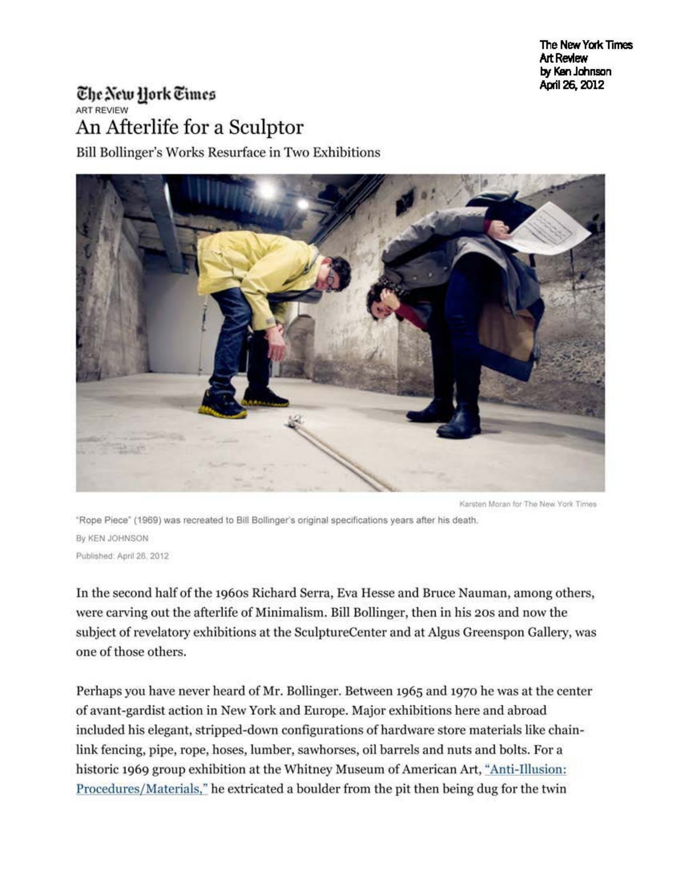The New York Times **Art Review** by Ksn Johnson Apil26, 2012

## The New Hork Times ART REVIEW An Afterlife for a Sculptor

Bill Bollinger's Works Resurface in Two Exhibitions



Karsten Moran for The New York Times

"Rope Piece" (1969) was recreated to Bill Bollinger's original specifications years after his death. By KEN JOHNSON Published: April 26, 2012

In the second half of the 1960s Richard Serra, Eva Hesse and Bruce Nauman, among others, were carving out the afterlife of Minimalism. Bill Bollinger, then in his 20s and now the subject of revelatory exhibitions at the SculptureCenter and at Algus Greenspon Gallery, was one of those others.

Perhaps you have never beard of Mr. Bollinger. Between 1965 and 1970 he was at the center of avant-gardist action in New York and Europe. Major exhibitions here and abroad included his elegant, stripped-down configurations of hardware store materials like chainlink fencing, pipe, rope, hoses, lumber, sawhorses, oil barrels and nuts and bolts. For a historic 1969 group exhibition at the Whitney Museum of American Art, "Anti-Illusion: Procedures/Materials," he extricated a boulder from the pit then being dug for the twin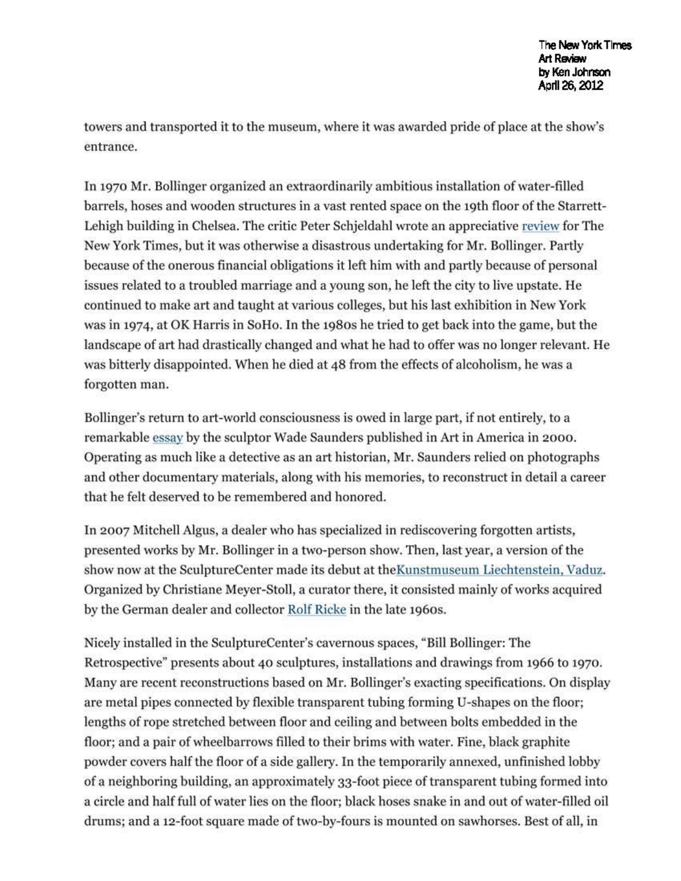towers and transported it to the museum, where it was awarded pride of place at the show's entrance.

In 1970 Mr. Bollinger organized an extraordinarily ambitious installation of water-filled barrels, hoses and wooden structures in a vast rented space on the 19th floor of the Starrett-Lehigh building in Chelsea. The critic Peter Schjeldahl wrote an appreciative review for The New York Times, but it was otherwise a disastrous undertaking for Mr. Bollinger. Partly because of the onerous financial obligations it left him with and partly because of personal issues related to a troubled marriage and a young son, he left the city to live upstate. He continued to make art and taught at various colleges, but his last exhibition in New York was in 1974, at OK Harris in SoHo. In the 1980s he tried to get back into the game, but the landscape of art had drastically changed and what he had to offer was no longer relevant. He was bitterly disappointed. When he died at 48 from the effects of alcoholism, he was a forgotten man.

Bollinger's return to art-world consciousness is owed in large part, if not entirely, to a remarkable essay by the sculptor Wade Saunders published in Art in America in 2000. Operating as much like a detective as an art historian, Mr. Saunders relied on photographs and other documentary materials, along with his memories, to reconstruct in detail a career that he felt deserved to be remembered and honored.

In 2007 Mitchell Algus, a dealer who has specialized in rediscovering forgotten artists, presented works by Mr. Bollinger in a two-person show. Then, last year, a version of the show now at the SculptureCenter made its debut at theKunstmuseum Liechtenstein, Vaduz. Organized by Christiane Meyer-Stoll, a curator there, it consisted mainly of works acquired by the German dealer and collector Rolf Ricke in the late 1960s.

Nicely installed in the SculptureCenter's cavernous spaces, "Bill Bollinger: The Retrospective" presents about 40 sculptures, installations and drawings from 1966 to 1970. Many are recent reconstructions based on Mr. Bollinger's exacting specifications. On display are metal pipes connected by flexible transparent tubing forming U-shapes on the floor; lengths of rope stretched between floor and ceiling and between bolts embedded in the floor; and a pair of wheelbarrows filled to their brims with water. Fine, black graphite powder covers half the floor of a side gallery. In the temporarily annexed, unfinished lobby of a neighboring building, an approximately 33-foot piece of transparent tubing formed into a circle and half full of water lies on the floor; black hoses snake in and out of water-filled oil drums; and a 12-foot square made of two-by-fours is mounted on sawhorses. Best of all, in